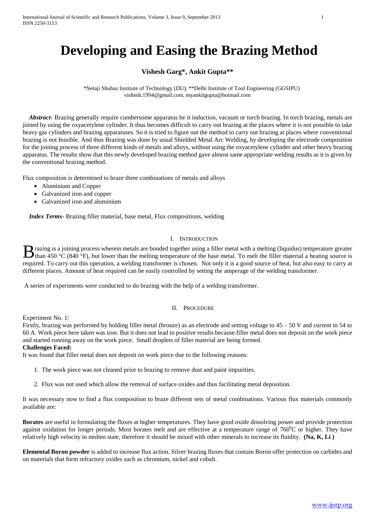# **Developing and Easing the Brazing Method**

# **Vishesh Garg\*, Ankit Gupta\*\***

\*Netaji Shubas Institute of Technology (DU), \*\*Delhi Institute of Tool Engineering (GGSIPU) vishesh.1994@gmail.com, myankitgupta@hotmail.com

*Abstract***-** Brazing generally require cumbersome apparatus be it induction, vacuum or torch brazing. In torch brazing, metals are joined by using the oxyacetylene cylinder. It thus becomes difficult to carry out brazing at the places where it is not possible to take heavy gas cylinders and brazing apparatuses. So it is tried to figure out the method to carry out brazing at places where conventional brazing is not feasible. And thus Brazing was done by usual Shielded Metal Arc Welding, by developing the electrode composition for the joining process of three different kinds of metals and alloys, without using the oxyacetylene cylinder and other heavy brazing apparatus. The results show that this newly developed brazing method gave almost same appropriate welding results as it is given by the conventional brazing method.

Flux composition is determined to braze three combinations of metals and alloys

- Aluminium and Copper
- Galvanized iron and copper
- Galvanized iron and aluminium

*Index Terms***-** Brazing filler material, base metal, Flux compositions, welding

#### I. INTRODUCTION

**razing is a joining process wherein metals are bonded together using a filler metal with a melting (liquidus) temperature greater th** a melting is a joining process wherein metals are bonded together using a filler metal with a melting (liquidus) temperature greater than 450 °C (840 °F), but lower than the melting temperature of the base metal. To required. To carry out this operation, a welding transformer is chosen. Not only it is a good source of heat, but also easy to carry at different places. Amount of heat required can be easily controlled by setting the amperage of the welding transformer.

A series of experiments were conducted to do brazing with the help of a welding transformer.

## II. PROCEDURE

Experiment No. 1:

Firstly, brazing was performed by holding filler metal (bronze) as an electrode and setting voltage to 45 – 50 V and current to 54 to 60 A. Work piece here taken was iron. But it does not lead to positive results because filler metal does not deposit on the work piece and started running away on the work piece. Small droplets of filler material are being formed.

### **Challenges Faced:**

It was found that filler metal does not deposit on work piece due to the following reasons:

- 1. The work piece was not cleaned prior to brazing to remove dust and paint impurities.
- 2. Flux was not used which allow the removal of surface oxides and thus facilitating metal deposition.

It was necessary now to find a flux composition to braze different sets of metal combinations. Various flux materials commonly available are:

**Borates** are useful in formulating the fluxes at higher temperatures. They have good oxide dissolving power and provide protection against oxidation for longer periods. Most borates melt and are effective at a temperature range of  $760^{\circ}$ C or higher. They have relatively high velocity in molten state, therefore it should be mixed with other minerals to increase its fluidity. **(Na, K, Li )**

**Elemental Boron powder** is added to increase flux action. Silver brazing fluxes that contain Boron offer protection on carbides and on materials that form refractory oxides such as chromium, nickel and cobalt.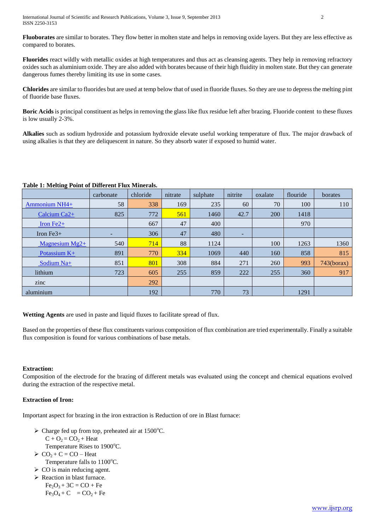**Fluoborates** are similar to borates. They flow better in molten state and helps in removing oxide layers. But they are less effective as compared to borates.

**Fluorides** react wildly with metallic oxides at high temperatures and thus act as cleansing agents. They help in removing refractory oxides such as aluminium oxide. They are also added with borates because of their high fluidity in molten state. But they can generate dangerous fumes thereby limiting its use in some cases.

**Chlorides** are similar to fluorides but are used at temp below that of used in fluoride fluxes. So they are use to depress the melting pint of fluoride base fluxes.

**Boric Acids** is principal constituent as helps in removing the glass like flux residue left after brazing. Fluoride content to these fluxes is low usually 2-3%.

**Alkalies** such as sodium hydroxide and potassium hydroxide elevate useful working temperature of flux. The major drawback of using alkalies is that they are deliquescent in nature. So they absorb water if exposed to humid water.

|                      | carbonate | chloride | nitrate | sulphate | nitrite | oxalate | flouride | borates    |
|----------------------|-----------|----------|---------|----------|---------|---------|----------|------------|
| <b>Ammonium NH4+</b> | 58        | 338      | 169     | 235      | 60      | 70      | 100      | 110        |
| Calcium $Ca2+$       | 825       | 772      | 561     | 1460     | 42.7    | 200     | 1418     |            |
| Iron $Fe2+$          |           | 667      | 47      | 400      |         |         | 970      |            |
| Iron $Fe3+$          |           | 306      | 47      | 480      | ۰       |         |          |            |
| Magnesium $Mg2+$     | 540       | 714      | 88      | 1124     |         | 100     | 1263     | 1360       |
| Potassium $K+$       | 891       | 770      | 334     | 1069     | 440     | 160     | 858      | 815        |
| Sodium Na+           | 851       | 801      | 308     | 884      | 271     | 260     | 993      | 743(borax) |
| lithium              | 723       | 605      | 255     | 859      | 222     | 255     | 360      | 917        |
| zinc                 |           | 292      |         |          |         |         |          |            |
| aluminium            |           | 192      |         | 770      | 73      |         | 1291     |            |

## **Table 1: Melting Point of Different Flux Minerals.**

**Wetting Agents** are used in paste and liquid fluxes to facilitate spread of flux.

Based on the properties of these flux constituents various composition of flux combination are tried experimentally. Finally a suitable flux composition is found for various combinations of base metals.

# **Extraction:**

Composition of the electrode for the brazing of different metals was evaluated using the concept and chemical equations evolved during the extraction of the respective metal.

# **Extraction of Iron:**

Important aspect for brazing in the iron extraction is Reduction of ore in Blast furnace:

- $\triangleright$  Charge fed up from top, preheated air at 1500 °C.  $C + O<sub>2</sub> = CO<sub>2</sub> + Heat$ Temperature Rises to 1900°C.
- $\geq CO_2 + C = CO Heat$ Temperature falls to  $1100^{\circ}$ C.
- $\triangleright$  CO is main reducing agent.
- $\triangleright$  Reaction in blast furnace.
	- $Fe<sub>2</sub>O<sub>3</sub> + 3C = CO + Fe$  $Fe<sub>3</sub>O<sub>4</sub> + C$  = CO<sub>2</sub> + Fe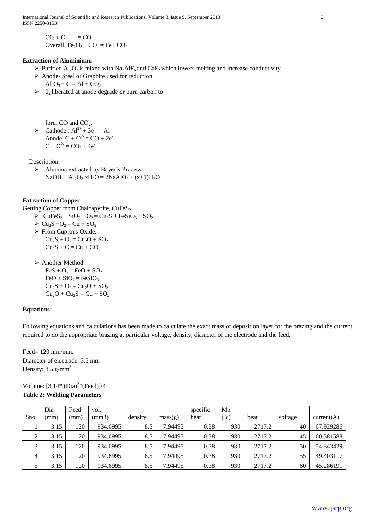International Journal of Scientific and Research Publications, Volume 3, Issue 9, September 2013 3 ISSN 2250-3153

 $CO<sub>2</sub> + C$  = CO Overall,  $Fe<sub>2</sub>O<sub>3</sub> + CO = Fe + CO<sub>2</sub>$ 

## **Extraction of Aluminium:**

- $\triangleright$  Purified Al<sub>2</sub>O<sub>3</sub> is mixed with Na<sub>3</sub>AlF<sub>6</sub> and CaF<sub>2</sub> which lowers melting and increase conductivity.
- Anode- Steel or Graphite used for reduction  $Al_2O_3 + C = Al + CO_2$
- $\geq 0_2$  liberated at anode degrade or burn carbon to

form  $CO$  and  $CO<sub>2</sub>$ .

 $\triangleright$  Cathode : Al<sup>3+</sup> + 3e<sup>-</sup> = Al Anode:  $C + O^{2} = CO + 2e^{-}$  $C + O^{2-} = CO_2 + 4e^{-}$ 

Description:

 Alumina extracted by Bayer's Process  $NaOH + Al<sub>2</sub>O<sub>3</sub>$ ,  $xH<sub>2</sub>O = 2NaAlO<sub>2</sub> + (x+1)H<sub>2</sub>O$ 

#### **Extraction of Copper:**

Getting Copper from Chalcapyrite,  $CuFeS<sub>2</sub>$ 

- $\triangleright$  CuFeS<sub>2</sub> + SiO<sub>2</sub> + O<sub>2</sub> = Cu<sub>2</sub>S + FeSiO<sub>3</sub> + SO<sub>2</sub>
	- $\triangleright$  Cu<sub>2</sub>S +O<sub>2</sub> = Cu + SO<sub>2</sub>
	- From Cuprous Oxide:  $Cu_2S + O_2 = Cu_2O + SO_2$  $Cu<sub>2</sub>S + C = Cu + CO$
	- > Another Method:

 $FeS + O<sub>2</sub> = FeO + SO<sub>2</sub>$  $FeO + SiO<sub>2</sub> = FeSiO<sub>3</sub>$  $Cu_2S + O_2 = Cu_2O + SO_2$  $Cu_2O + Cu_2S = Cu + SO_2$ 

#### **Equations:**

Following equations and calculations has been made to calculate the exact mass of deposition layer for the brazing and the current required to do the appropriate brazing at particular voltage, density, diameter of the electrode and the feed.

Feed= 120 mm/min. Diameter of electrode: 3.5 mm Density:  $8.5$  g/mm<sup>3</sup>

Volume:  $[3.14*(Dia)^{2}*(\text{Feed})]/4$ 

## **Table 2: Welding Parameters**

|                     | Dia  | Feed | vol.     |         |         | specific | Mp          |        |         |            |
|---------------------|------|------|----------|---------|---------|----------|-------------|--------|---------|------------|
| Sno.                | (mm  | (mm) | (mm3)    | density | mass(g) | heat     | $^{(0)}$ c) | heat   | voltage | current(A) |
|                     | 3.15 | 120  | 934.6995 | 8.5     | 7.94495 | 0.38     | 930         | 2717.2 | 40      | 67.929286  |
| ◠<br>$\overline{ }$ | 3.15 | 120  | 934.6995 | 8.5     | 7.94495 | 0.38     | 930         | 2717.2 | 45      | 60.381588  |
| $\mathbf{c}$        | 3.15 | 120  | 934.6995 | 8.5     | 7.94495 | 0.38     | 930         | 2717.2 | 50      | 54.343429  |
| 4                   | 3.15 | 120  | 934.6995 | 8.5     | 7.94495 | 0.38     | 930         | 2717.2 | 55      | 49.403117  |
|                     | 3.15 | 20   | 934.6995 | 8.5     | 7.94495 | 0.38     | 930         | 2717.2 | 60      | 45.286191  |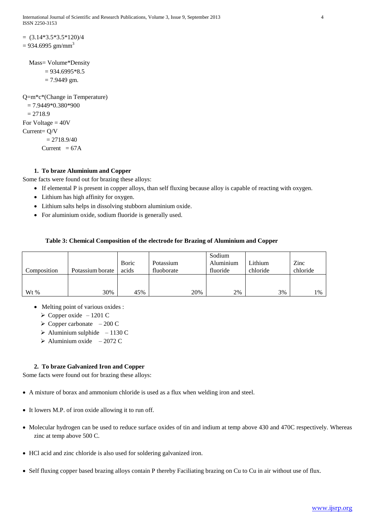International Journal of Scientific and Research Publications, Volume 3, Issue 9, September 2013 4 ISSN 2250-3153

```
= (3.14*3.5*3.5*120)/4= 934.6995 gm/mm<sup>3</sup>
```

```
Mass= Volume*Density
= 934.6995*8.5= 7.9449 gm.
```
Q=m\*c\*(Change in Temperature)  $= 7.9449*0.380*900$  $= 2718.9$ For Voltage  $=$  40V Current= Q/V  $= 2718.9/40$ Current  $= 67A$ 

# **1. To braze Aluminium and Copper**

Some facts were found out for brazing these alloys:

- If elemental P is present in copper alloys, than self fluxing because alloy is capable of reacting with oxygen.
- Lithium has high affinity for oxygen.
- Lithium salts helps in dissolving stubborn aluminium oxide.
- For aluminium oxide, sodium fluoride is generally used.

## **Table 3: Chemical Composition of the electrode for Brazing of Aluminium and Copper**

|             |                  |       |            | Sodium    |          |          |
|-------------|------------------|-------|------------|-----------|----------|----------|
|             |                  | Boric | Potassium  | Aluminium | Lithium  | Zinc     |
| Composition | Potassium borate | acids | fluoborate | fluoride  | chloride | chloride |
|             |                  |       |            |           |          |          |
|             |                  |       |            |           |          |          |
| $Wt\%$      | 30%              | 45%   | 20%        | 2%        | 3%       | 1%       |

- Melting point of various oxides :
	- $\geq$  Copper oxide 1201 C
	- $\geq$  Copper carbonate 200 C
	- $\blacktriangleright$  Aluminium sulphide 1130 C
	- $\blacktriangleright$  Aluminium oxide 2072 C

## **2. To braze Galvanized Iron and Copper**

Some facts were found out for brazing these alloys:

- A mixture of borax and ammonium chloride is used as a flux when welding iron and steel.
- It lowers M.P. of iron oxide allowing it to run off.
- Molecular hydrogen can be used to reduce surface oxides of tin and indium at temp above 430 and 470C respectively. Whereas zinc at temp above 500 C.
- HCl acid and zinc chloride is also used for soldering galvanized iron.
- Self fluxing copper based brazing alloys contain P thereby Faciliating brazing on Cu to Cu in air without use of flux.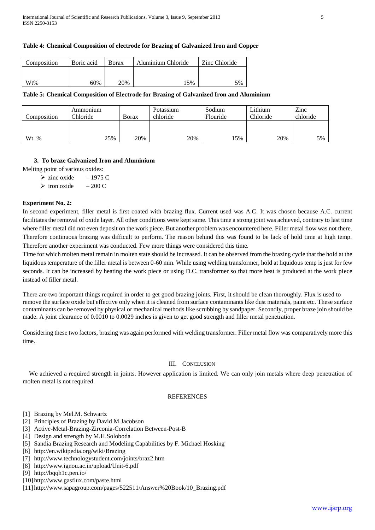## **Table 4: Chemical Composition of electrode for Brazing of Galvanized Iron and Copper**

| Composition | Boric acid | Borax | Aluminium Chloride | Zinc Chloride |  |
|-------------|------------|-------|--------------------|---------------|--|
|             |            |       |                    |               |  |
| Wt%         | 60%        | 20%   | 5%                 | 5%            |  |

#### **Table 5: Chemical Composition of Electrode for Brazing of Galvanized Iron and Aluminium**

| Composition | Ammonium<br>Chloride | <b>B</b> orax | Potassium<br>chloride | Sodium<br>Flouride | Lithium<br>Chloride | Zinc<br>chloride |
|-------------|----------------------|---------------|-----------------------|--------------------|---------------------|------------------|
| Wt. %       | 25%                  | 20%           | 20%                   | 15%                | 20%                 | 5%               |

## **3. To braze Galvanized Iron and Aluminium**

Melting point of various oxides:

- $\ge$  zinc oxide 1975 C
- $\geq$  iron oxide 200 C

## **Experiment No. 2:**

In second experiment, filler metal is first coated with brazing flux. Current used was A.C. It was chosen because A.C. current facilitates the removal of oxide layer. All other conditions were kept same. This time a strong joint was achieved, contrary to last time where filler metal did not even deposit on the work piece. But another problem was encountered here. Filler metal flow was not there. Therefore continuous brazing was difficult to perform. The reason behind this was found to be lack of hold time at high temp. Therefore another experiment was conducted. Few more things were considered this time.

Time for which molten metal remain in molten state should be increased. It can be observed from the brazing cycle that the hold at the liquidous temperature of the filler metal is between 0-60 min. While using welding transformer, hold at liquidous temp is just for few seconds. It can be increased by heating the work piece or using D.C. transformer so that more heat is produced at the work piece instead of filler metal.

There are two important things required in order to get good brazing joints. First, it should be clean thoroughly. Flux is used to remove the surface oxide but effective only when it is cleaned from surface contaminants like dust materials, paint etc. These surface contaminants can be removed by physical or mechanical methods like scrubbing by sandpaper. Secondly, proper braze join should be made. A joint clearance of 0.0010 to 0.0029 inches is given to get good strength and filler metal penetration.

Considering these two factors, brazing was again performed with welding transformer. Filler metal flow was comparatively more this time.

#### III. CONCLUSION

We achieved a required strength in joints. However application is limited. We can only join metals where deep penetration of molten metal is not required.

# **REFERENCES**

- [1] Brazing by Mel.M. Schwartz
- [2] Principles of Brazing by David M.Jacobson
- [3] Active-Metal-Brazing-Zirconia-Correlation Between-Post-B
- [4] Design and strength by M.H.Soloboda
- [5] Sandia Brazing Research and Modeling Capabilities by F. Michael Hosking
- [6] <http://en.wikipedia.org/wiki/Brazing>
- [7] <http://www.technologystudent.com/joints/braz2.htm>
- [8] <http://www.ignou.ac.in/upload/Unit-6.pdf>
- [9] <http://bqqh1c.pen.io/>
- [10] <http://www.gasflux.com/paste.html>
- [11] [http://www.sapagroup.com/pages/522511/Answer%20Book/10\\_Brazing.pdf](http://www.sapagroup.com/pages/522511/Answer%20Book/10_Brazing.pdf)